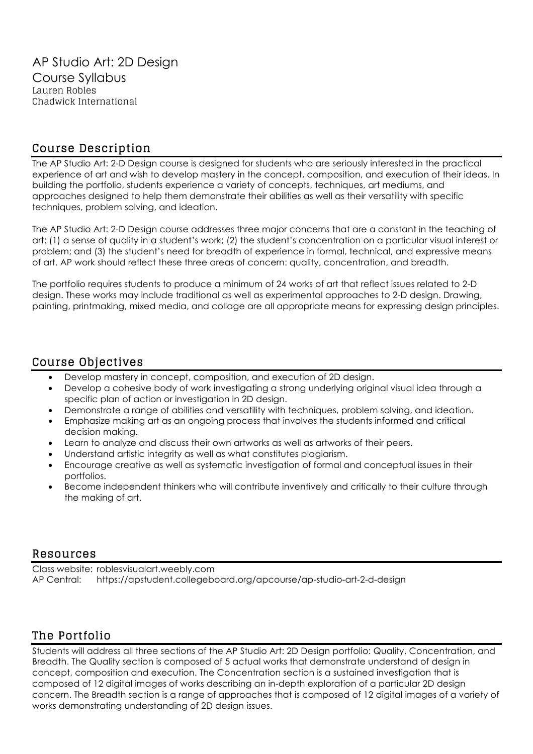# Course Description

The AP Studio Art: 2-D Design course is designed for students who are seriously interested in the practical experience of art and wish to develop mastery in the concept, composition, and execution of their ideas. In building the portfolio, students experience a variety of concepts, techniques, art mediums, and approaches designed to help them demonstrate their abilities as well as their versatility with specific techniques, problem solving, and ideation.

The AP Studio Art: 2-D Design course addresses three major concerns that are a constant in the teaching of art: (1) a sense of quality in a student's work; (2) the student's concentration on a particular visual interest or problem; and (3) the student's need for breadth of experience in formal, technical, and expressive means of art. AP work should reflect these three areas of concern: quality, concentration, and breadth.

The portfolio requires students to produce a minimum of 24 works of art that reflect issues related to 2-D design. These works may include traditional as well as experimental approaches to 2-D design. Drawing, painting, printmaking, mixed media, and collage are all appropriate means for expressing design principles.

## Course Objectives

- Develop mastery in concept, composition, and execution of 2D design.
- Develop a cohesive body of work investigating a strong underlying original visual idea through a specific plan of action or investigation in 2D design.
- Demonstrate a range of abilities and versatility with techniques, problem solving, and ideation.
- Emphasize making art as an ongoing process that involves the students informed and critical decision making.
- Learn to analyze and discuss their own artworks as well as artworks of their peers.
- Understand artistic integrity as well as what constitutes plagiarism.
- Encourage creative as well as systematic investigation of formal and conceptual issues in their portfolios.
- Become independent thinkers who will contribute inventively and critically to their culture through the making of art.

### Resources

Class website: roblesvisualart.weebly.com AP Central: https://apstudent.collegeboard.org/apcourse/ap-studio-art-2-d-design

# The Portfolio

Students will address all three sections of the AP Studio Art: 2D Design portfolio: Quality, Concentration, and Breadth. The Quality section is composed of 5 actual works that demonstrate understand of design in concept, composition and execution. The Concentration section is a sustained investigation that is composed of 12 digital images of works describing an in-depth exploration of a particular 2D design concern. The Breadth section is a range of approaches that is composed of 12 digital images of a variety of works demonstrating understanding of 2D design issues.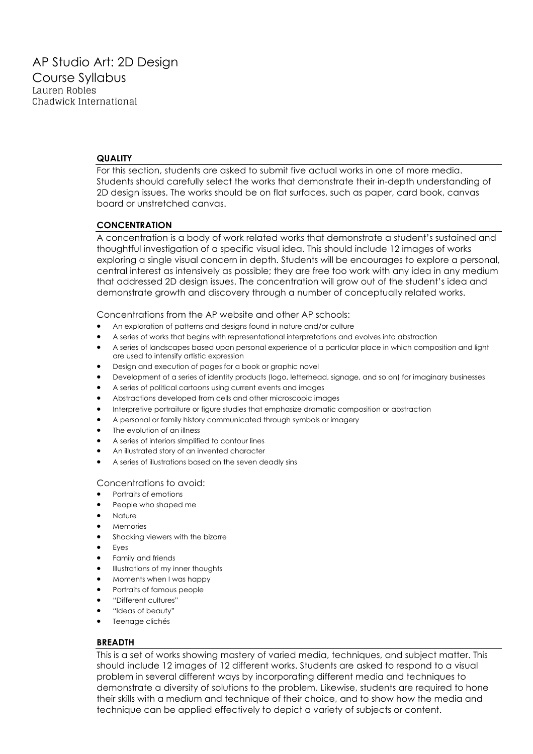#### **QUALITY**

For this section, students are asked to submit five actual works in one of more media. Students should carefully select the works that demonstrate their in-depth understanding of 2D design issues. The works should be on flat surfaces, such as paper, card book, canvas board or unstretched canvas.

#### **CONCENTRATION**

A concentration is a body of work related works that demonstrate a student's sustained and thoughtful investigation of a specific visual idea. This should include 12 images of works exploring a single visual concern in depth. Students will be encourages to explore a personal, central interest as intensively as possible; they are free too work with any idea in any medium that addressed 2D design issues. The concentration will grow out of the student's idea and demonstrate growth and discovery through a number of conceptually related works.

Concentrations from the AP website and other AP schools:

- An exploration of patterns and designs found in nature and/or culture
- A series of works that begins with representational interpretations and evolves into abstraction
- A series of landscapes based upon personal experience of a particular place in which composition and light are used to intensify artistic expression
- Design and execution of pages for a book or graphic novel
- Development of a series of identity products (logo, letterhead, signage, and so on) for imaginary businesses
- A series of political cartoons using current events and images
- Abstractions developed from cells and other microscopic images
- Interpretive portraiture or figure studies that emphasize dramatic composition or abstraction
- A personal or family history communicated through symbols or imagery
- The evolution of an illness
- A series of interiors simplified to contour lines
- An illustrated story of an invented character
- A series of illustrations based on the seven deadly sins

#### Concentrations to avoid:

- Portraits of emotions
- People who shaped me
- Nature
- Memories
- Shocking viewers with the bizarre
- **Eyes**
- Family and friends
- Illustrations of my inner thoughts
- Moments when I was happy
- Portraits of famous people
- "Different cultures"
- "Ideas of beauty"
- Teenage clichés

#### **BREADTH**

This is a set of works showing mastery of varied media, techniques, and subject matter. This should include 12 images of 12 different works. Students are asked to respond to a visual problem in several different ways by incorporating different media and techniques to demonstrate a diversity of solutions to the problem. Likewise, students are required to hone their skills with a medium and technique of their choice, and to show how the media and technique can be applied effectively to depict a variety of subjects or content.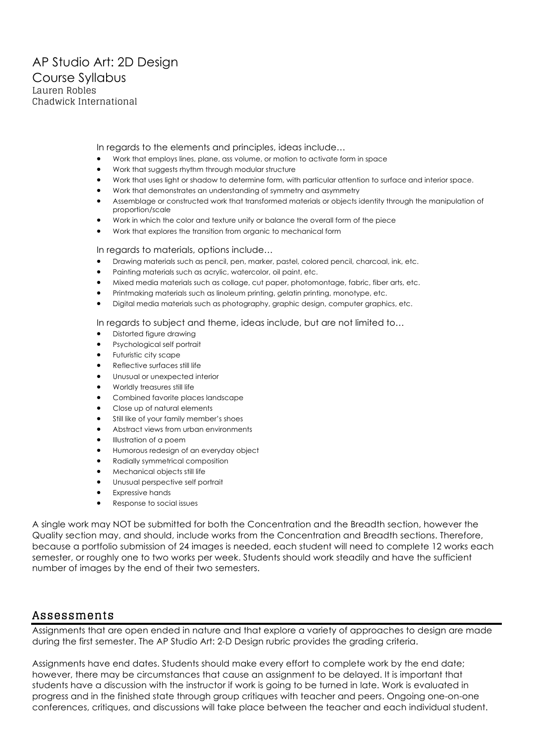In regards to the elements and principles, ideas include…

- Work that employs lines, plane, ass volume, or motion to activate form in space
- Work that suggests rhythm through modular structure
- Work that uses light or shadow to determine form, with particular attention to surface and interior space.
- Work that demonstrates an understanding of symmetry and asymmetry
- Assemblage or constructed work that transformed materials or objects identity through the manipulation of proportion/scale
- Work in which the color and texture unify or balance the overall form of the piece
- Work that explores the transition from organic to mechanical form

#### In regards to materials, options include…

- Drawing materials such as pencil, pen, marker, pastel, colored pencil, charcoal, ink, etc.
- Painting materials such as acrylic, watercolor, oil paint, etc.
- Mixed media materials such as collage, cut paper, photomontage, fabric, fiber arts, etc.
- Printmaking materials such as linoleum printing, gelatin printing, monotype, etc.
- Digital media materials such as photography, graphic design, computer graphics, etc.

In regards to subject and theme, ideas include, but are not limited to…

- Distorted figure drawing
- Psychological self portrait
- Futuristic city scape
- Reflective surfaces still life
- Unusual or unexpected interior
- Worldly treasures still life
- Combined favorite places landscape
- Close up of natural elements
- Still like of your family member's shoes
- Abstract views from urban environments
- Illustration of a poem
- Humorous redesign of an everyday object
- Radially symmetrical composition
- Mechanical objects still life
- Unusual perspective self portrait
- **Expressive hands**
- Response to social issues

A single work may NOT be submitted for both the Concentration and the Breadth section, however the Quality section may, and should, include works from the Concentration and Breadth sections. Therefore, because a portfolio submission of 24 images is needed, each student will need to complete 12 works each semester, or roughly one to two works per week. Students should work steadily and have the sufficient number of images by the end of their two semesters.

#### Assessments

Assignments that are open ended in nature and that explore a variety of approaches to design are made during the first semester. The AP Studio Art: 2-D Design rubric provides the grading criteria.

Assignments have end dates. Students should make every effort to complete work by the end date; however, there may be circumstances that cause an assignment to be delayed. It is important that students have a discussion with the instructor if work is going to be turned in late. Work is evaluated in progress and in the finished state through group critiques with teacher and peers. Ongoing one-on-one conferences, critiques, and discussions will take place between the teacher and each individual student.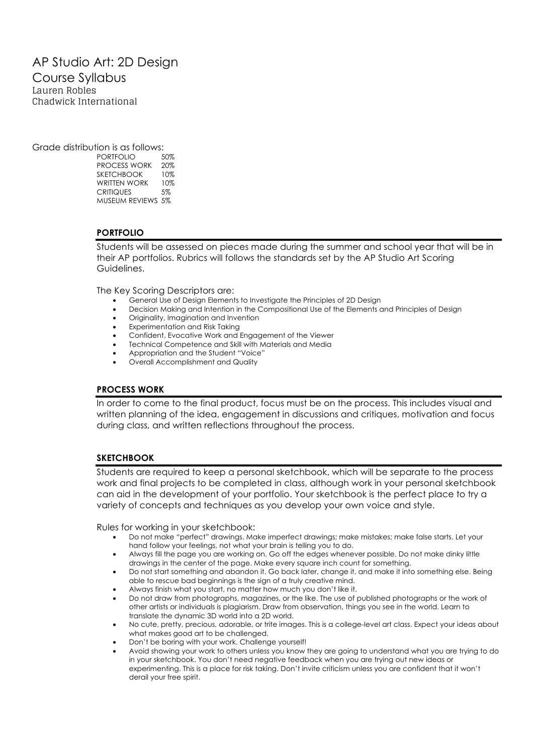### AP Studio Art: 2D Design Course Syllabus Lauren Robles Chadwick International

Grade distribution is as follows:

PORTFOLIO 50% PROCESS WORK 20% SKETCHBOOK 10% WRITTEN WORK 10% CRITIQUES 5% MUSEUM REVIEWS 5%

### **PORTFOLIO**

Students will be assessed on pieces made during the summer and school year that will be in their AP portfolios. Rubrics will follows the standards set by the AP Studio Art Scoring Guidelines.

The Key Scoring Descriptors are:

- General Use of Design Elements to Investigate the Principles of 2D Design
- Decision Making and Intention in the Compositional Use of the Elements and Principles of Design
- Originality, Imagination and Invention
- Experimentation and Risk Taking
- Confident, Evocative Work and Engagement of the Viewer
- Technical Competence and Skill with Materials and Media
- Appropriation and the Student "Voice"
- Overall Accomplishment and Quality

#### **PROCESS WORK**

In order to come to the final product, focus must be on the process. This includes visual and written planning of the idea, engagement in discussions and critiques, motivation and focus during class, and written reflections throughout the process.

#### **SKETCHBOOK**

Students are required to keep a personal sketchbook, which will be separate to the process work and final projects to be completed in class, although work in your personal sketchbook can aid in the development of your portfolio. Your sketchbook is the perfect place to try a variety of concepts and techniques as you develop your own voice and style.

Rules for working in your sketchbook:

- Do not make "perfect" drawings. Make imperfect drawings; make mistakes; make false starts. Let your hand follow your feelings, not what your brain is telling you to do.
- Always fill the page you are working on. Go off the edges whenever possible. Do not make dinky little drawings in the center of the page. Make every square inch count for something.
- Do not start something and abandon it. Go back later, change it, and make it into something else. Being able to rescue bad beginnings is the sign of a truly creative mind.
- Always finish what you start, no matter how much you don't like it.
- Do not draw from photographs, magazines, or the like. The use of published photographs or the work of other artists or individuals is plagiarism. Draw from observation, things you see in the world. Learn to translate the dynamic 3D world into a 2D world.
- No cute, pretty, precious, adorable, or trite images. This is a college-level art class. Expect your ideas about what makes good art to be challenged.
- Don't be boring with your work. Challenge yourself!
- Avoid showing your work to others unless you know they are going to understand what you are trying to do in your sketchbook. You don't need negative feedback when you are trying out new ideas or experimenting. This is a place for risk taking. Don't invite criticism unless you are confident that it won't derail your free spirit.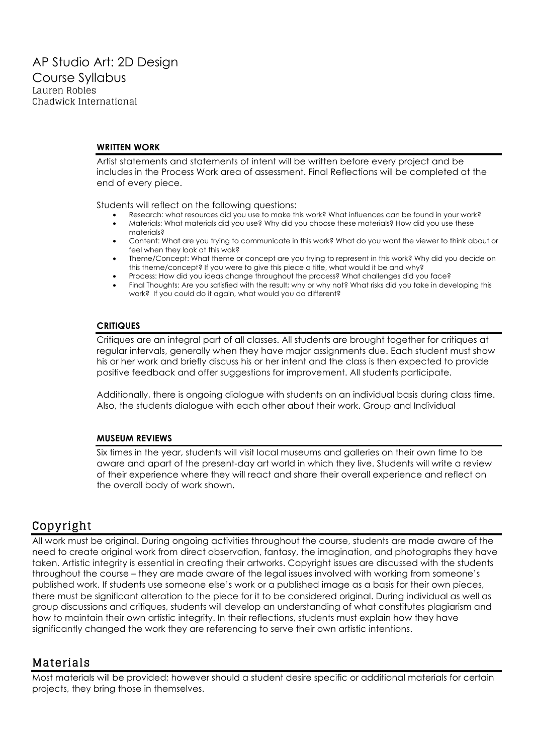#### **WRITTEN WORK**

Artist statements and statements of intent will be written before every project and be includes in the Process Work area of assessment. Final Reflections will be completed at the end of every piece.

Students will reflect on the following questions:

- Research: what resources did you use to make this work? What influences can be found in your work?
- Materials: What materials did you use? Why did you choose these materials? How did you use these materials?
- Content: What are you trying to communicate in this work? What do you want the viewer to think about or feel when they look at this wok?
- Theme/Concept: What theme or concept are you trying to represent in this work? Why did you decide on this theme/concept? If you were to give this piece a title, what would it be and why?
- Process: How did you ideas change throughout the process? What challenges did you face?
- Final Thoughts: Are you satisfied with the result; why or why not? What risks did you take in developing this work? If you could do it again, what would you do different?

#### **CRITIQUES**

Critiques are an integral part of all classes. All students are brought together for critiques at regular intervals, generally when they have major assignments due. Each student must show his or her work and briefly discuss his or her intent and the class is then expected to provide positive feedback and offer suggestions for improvement. All students participate.

Additionally, there is ongoing dialogue with students on an individual basis during class time. Also, the students dialogue with each other about their work. Group and Individual

#### **MUSEUM REVIEWS**

Six times in the year, students will visit local museums and galleries on their own time to be aware and apart of the present-day art world in which they live. Students will write a review of their experience where they will react and share their overall experience and reflect on the overall body of work shown.

### Copyright

All work must be original. During ongoing activities throughout the course, students are made aware of the need to create original work from direct observation, fantasy, the imagination, and photographs they have taken. Artistic integrity is essential in creating their artworks. Copyright issues are discussed with the students throughout the course – they are made aware of the legal issues involved with working from someone's published work. If students use someone else's work or a published image as a basis for their own pieces, there must be significant alteration to the piece for it to be considered original. During individual as well as group discussions and critiques, students will develop an understanding of what constitutes plagiarism and how to maintain their own artistic integrity. In their reflections, students must explain how they have significantly changed the work they are referencing to serve their own artistic intentions.

### Materials

Most materials will be provided; however should a student desire specific or additional materials for certain projects, they bring those in themselves.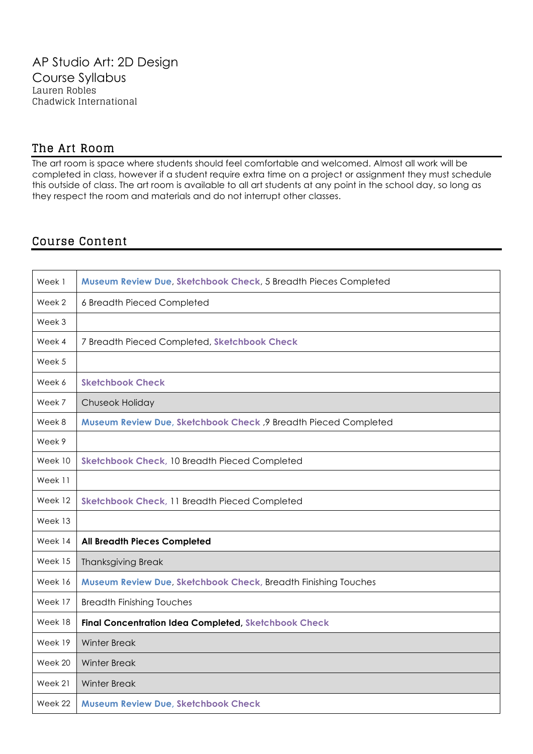## The Art Room

The art room is space where students should feel comfortable and welcomed. Almost all work will be completed in class, however if a student require extra time on a project or assignment they must schedule this outside of class. The art room is available to all art students at any point in the school day, so long as they respect the room and materials and do not interrupt other classes.

## Course Content

| Week 1  | Museum Review Due, Sketchbook Check, 5 Breadth Pieces Completed |
|---------|-----------------------------------------------------------------|
| Week 2  | 6 Breadth Pieced Completed                                      |
| Week 3  |                                                                 |
| Week 4  | 7 Breadth Pieced Completed, Sketchbook Check                    |
| Week 5  |                                                                 |
| Week 6  | <b>Sketchbook Check</b>                                         |
| Week 7  | Chuseok Holiday                                                 |
| Week 8  | Museum Review Due, Sketchbook Check, 9 Breadth Pieced Completed |
| Week 9  |                                                                 |
| Week 10 | Sketchbook Check, 10 Breadth Pieced Completed                   |
| Week 11 |                                                                 |
| Week 12 | Sketchbook Check, 11 Breadth Pieced Completed                   |
| Week 13 |                                                                 |
| Week 14 | <b>All Breadth Pieces Completed</b>                             |
| Week 15 | <b>Thanksgiving Break</b>                                       |
| Week 16 | Museum Review Due, Sketchbook Check, Breadth Finishing Touches  |
| Week 17 | <b>Breadth Finishing Touches</b>                                |
| Week 18 | <b>Final Concentration Idea Completed, Sketchbook Check</b>     |
| Week 19 | <b>Winter Break</b>                                             |
| Week 20 | <b>Winter Break</b>                                             |
| Week 21 | <b>Winter Break</b>                                             |
| Week 22 | <b>Museum Review Due, Sketchbook Check</b>                      |
|         |                                                                 |